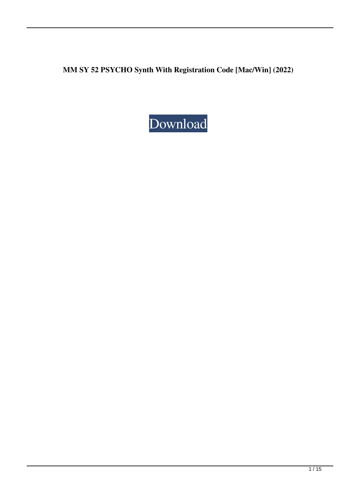**MM SY 52 PSYCHO Synth With Registration Code [Mac/Win] (2022)**

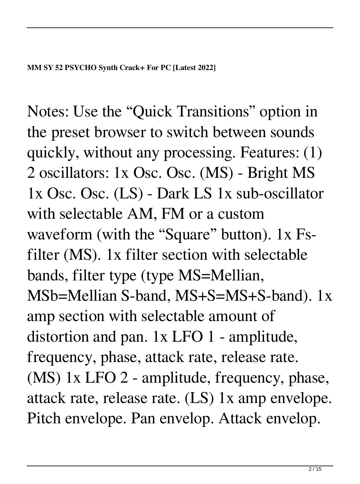Notes: Use the "Quick Transitions" option in the preset browser to switch between sounds quickly, without any processing. Features: (1) 2 oscillators: 1x Osc. Osc. (MS) - Bright MS 1x Osc. Osc. (LS) - Dark LS 1x sub-oscillator with selectable AM, FM or a custom waveform (with the "Square" button). 1x Fsfilter (MS). 1x filter section with selectable bands, filter type (type MS=Mellian, MSb=Mellian S-band, MS+S=MS+S-band). 1x amp section with selectable amount of distortion and pan. 1x LFO 1 - amplitude, frequency, phase, attack rate, release rate. (MS) 1x LFO 2 - amplitude, frequency, phase, attack rate, release rate. (LS) 1x amp envelope. Pitch envelope. Pan envelop. Attack envelop.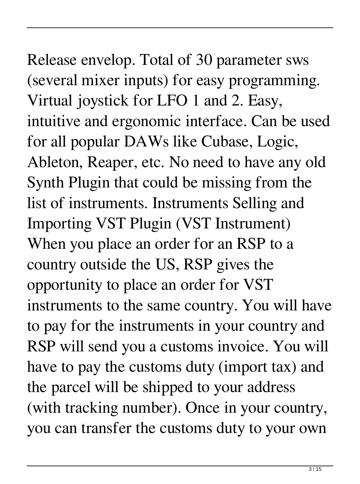### Release envelop. Total of 30 parameter sws (several mixer inputs) for easy programming. Virtual joystick for LFO 1 and 2. Easy, intuitive and ergonomic interface. Can be used for all popular DAWs like Cubase, Logic, Ableton, Reaper, etc. No need to have any old Synth Plugin that could be missing from the list of instruments. Instruments Selling and Importing VST Plugin (VST Instrument) When you place an order for an RSP to a country outside the US, RSP gives the opportunity to place an order for VST instruments to the same country. You will have to pay for the instruments in your country and RSP will send you a customs invoice. You will have to pay the customs duty (import tax) and the parcel will be shipped to your address (with tracking number). Once in your country,

you can transfer the customs duty to your own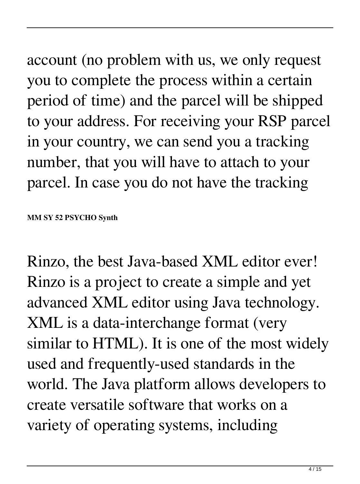account (no problem with us, we only request

you to complete the process within a certain period of time) and the parcel will be shipped to your address. For receiving your RSP parcel in your country, we can send you a tracking number, that you will have to attach to your parcel. In case you do not have the tracking

**MM SY 52 PSYCHO Synth** 

Rinzo, the best Java-based XML editor ever! Rinzo is a project to create a simple and yet advanced XML editor using Java technology. XML is a data-interchange format (very similar to HTML). It is one of the most widely used and frequently-used standards in the world. The Java platform allows developers to create versatile software that works on a variety of operating systems, including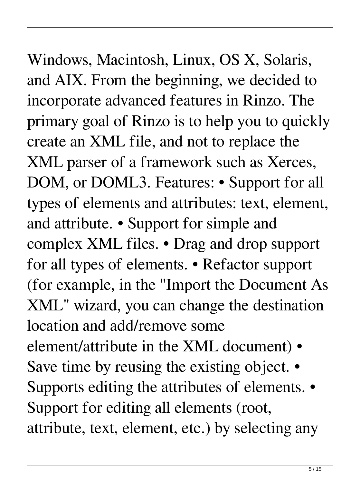### Windows, Macintosh, Linux, OS X, Solaris, and AIX. From the beginning, we decided to

incorporate advanced features in Rinzo. The primary goal of Rinzo is to help you to quickly create an XML file, and not to replace the XML parser of a framework such as Xerces, DOM, or DOML3. Features: • Support for all types of elements and attributes: text, element, and attribute. • Support for simple and complex XML files. • Drag and drop support for all types of elements. • Refactor support (for example, in the "Import the Document As XML" wizard, you can change the destination location and add/remove some element/attribute in the XML document) • Save time by reusing the existing object. • Supports editing the attributes of elements. • Support for editing all elements (root, attribute, text, element, etc.) by selecting any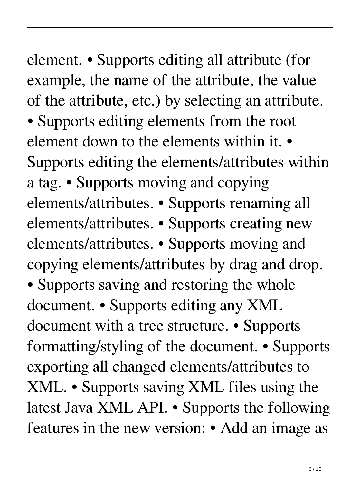element. • Supports editing all attribute (for example, the name of the attribute, the value of the attribute, etc.) by selecting an attribute. • Supports editing elements from the root element down to the elements within it. • Supports editing the elements/attributes within a tag. • Supports moving and copying elements/attributes. • Supports renaming all elements/attributes. • Supports creating new elements/attributes. • Supports moving and copying elements/attributes by drag and drop. • Supports saving and restoring the whole document. • Supports editing any XML document with a tree structure. • Supports formatting/styling of the document. • Supports exporting all changed elements/attributes to XML. • Supports saving XML files using the latest Java XML API. • Supports the following features in the new version: • Add an image as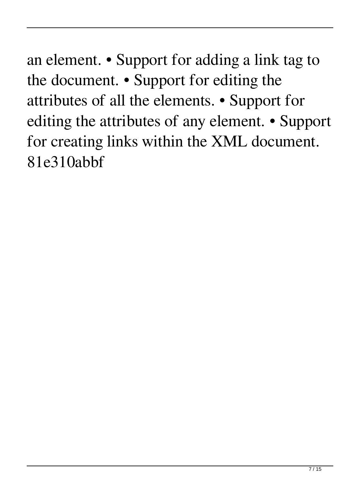an element. • Support for adding a link tag to the document. • Support for editing the attributes of all the elements. • Support for editing the attributes of any element. • Support for creating links within the XML document. 81e310abbf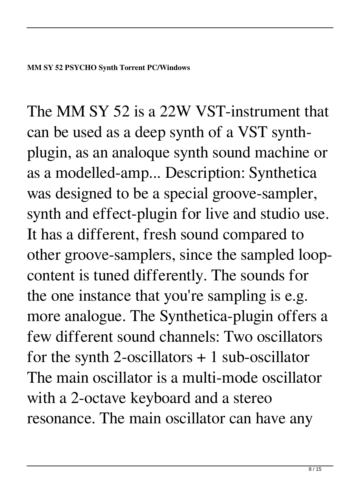The MM SY 52 is a 22W VST-instrument that can be used as a deep synth of a VST synthplugin, as an analoque synth sound machine or as a modelled-amp... Description: Synthetica was designed to be a special groove-sampler, synth and effect-plugin for live and studio use. It has a different, fresh sound compared to other groove-samplers, since the sampled loopcontent is tuned differently. The sounds for the one instance that you're sampling is e.g. more analogue. The Synthetica-plugin offers a few different sound channels: Two oscillators for the synth 2-oscillators  $+ 1$  sub-oscillator The main oscillator is a multi-mode oscillator with a 2-octave keyboard and a stereo resonance. The main oscillator can have any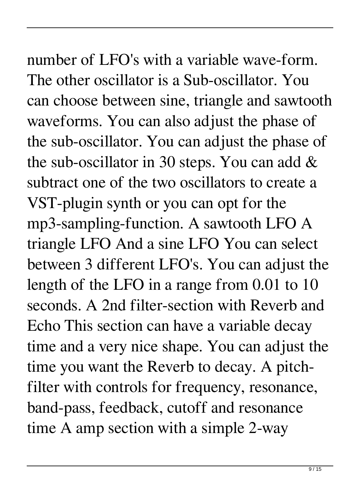number of LFO's with a variable wave-form. The other oscillator is a Sub-oscillator. You can choose between sine, triangle and sawtooth waveforms. You can also adjust the phase of the sub-oscillator. You can adjust the phase of the sub-oscillator in 30 steps. You can add & subtract one of the two oscillators to create a VST-plugin synth or you can opt for the mp3-sampling-function. A sawtooth LFO A triangle LFO And a sine LFO You can select between 3 different LFO's. You can adjust the length of the LFO in a range from 0.01 to 10 seconds. A 2nd filter-section with Reverb and Echo This section can have a variable decay time and a very nice shape. You can adjust the time you want the Reverb to decay. A pitchfilter with controls for frequency, resonance, band-pass, feedback, cutoff and resonance time A amp section with a simple 2-way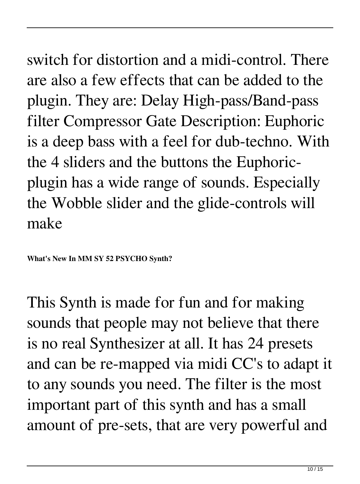### switch for distortion and a midi-control. There are also a few effects that can be added to the plugin. They are: Delay High-pass/Band-pass filter Compressor Gate Description: Euphoric is a deep bass with a feel for dub-techno. With the 4 sliders and the buttons the Euphoricplugin has a wide range of sounds. Especially the Wobble slider and the glide-controls will make

**What's New In MM SY 52 PSYCHO Synth?**

This Synth is made for fun and for making sounds that people may not believe that there is no real Synthesizer at all. It has 24 presets and can be re-mapped via midi CC's to adapt it to any sounds you need. The filter is the most important part of this synth and has a small amount of pre-sets, that are very powerful and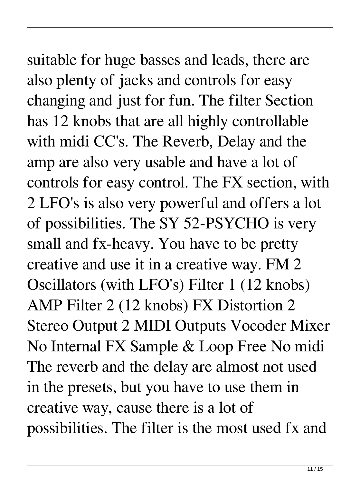# suitable for huge basses and leads, there are

also plenty of jacks and controls for easy changing and just for fun. The filter Section has 12 knobs that are all highly controllable with midi CC's. The Reverb, Delay and the amp are also very usable and have a lot of controls for easy control. The FX section, with 2 LFO's is also very powerful and offers a lot of possibilities. The SY 52-PSYCHO is very small and fx-heavy. You have to be pretty creative and use it in a creative way. FM 2 Oscillators (with LFO's) Filter 1 (12 knobs) AMP Filter 2 (12 knobs) FX Distortion 2 Stereo Output 2 MIDI Outputs Vocoder Mixer No Internal FX Sample & Loop Free No midi The reverb and the delay are almost not used in the presets, but you have to use them in creative way, cause there is a lot of possibilities. The filter is the most used fx and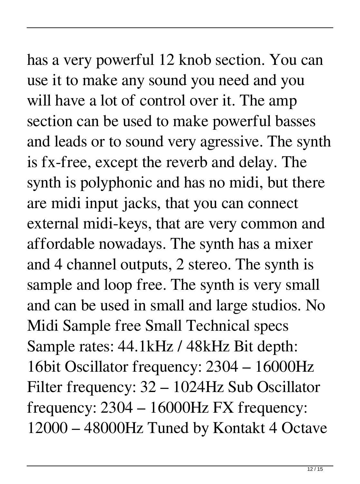## has a very powerful 12 knob section. You can

use it to make any sound you need and you will have a lot of control over it. The amp section can be used to make powerful basses and leads or to sound very agressive. The synth is fx-free, except the reverb and delay. The synth is polyphonic and has no midi, but there are midi input jacks, that you can connect external midi-keys, that are very common and affordable nowadays. The synth has a mixer and 4 channel outputs, 2 stereo. The synth is sample and loop free. The synth is very small and can be used in small and large studios. No Midi Sample free Small Technical specs Sample rates: 44.1kHz / 48kHz Bit depth: 16bit Oscillator frequency: 2304 – 16000Hz Filter frequency: 32 – 1024Hz Sub Oscillator frequency: 2304 – 16000Hz FX frequency: 12000 – 48000Hz Tuned by Kontakt 4 Octave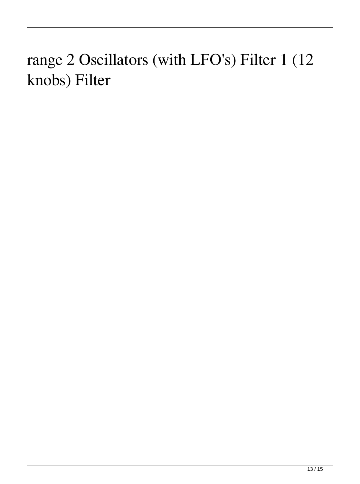### range 2 Oscillators (with LFO's) Filter 1 (12 knobs) Filter